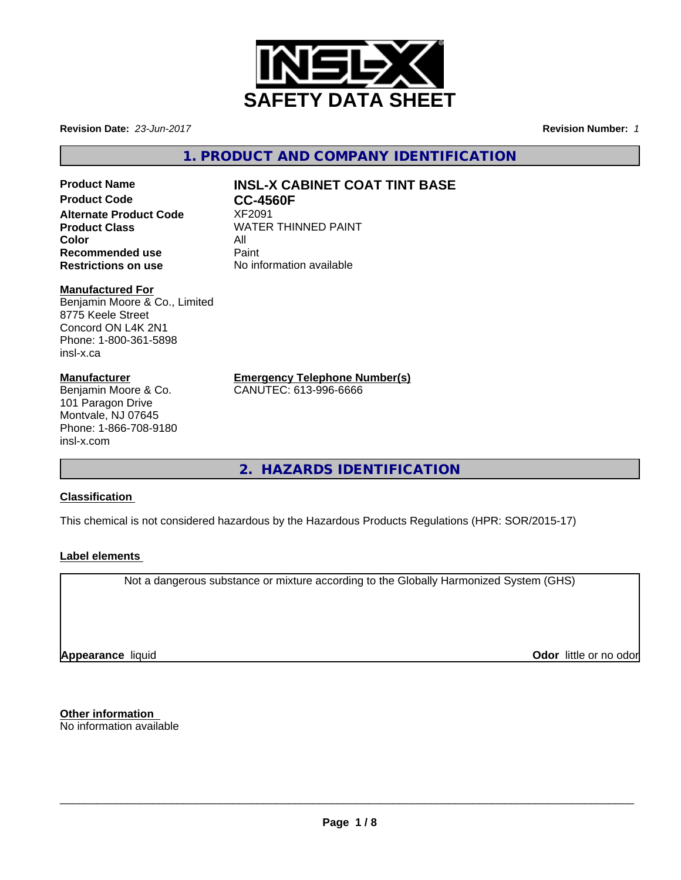

**Revision Date:** *23-Jun-2017* **Revision Number:** *1*

**1. PRODUCT AND COMPANY IDENTIFICATION**

## **Alternate Product Code Color Recommended use The Paint<br>
<b>Restrictions on use** No inf

## **Product Name INSL-X CABINET COAT TINT BASE**<br>Product Code **CC-4560F**

**CC-4560F**<br>**XF2091 Product Class** WATER THINNED PAINT<br>
Color **Restrictions on use** No information available

#### **Manufactured For**

Benjamin Moore & Co., Limited 8775 Keele Street Concord ON L4K 2N1 Phone: 1-800-361-5898 insl-x.ca

#### **Manufacturer**

Benjamin Moore & Co. 101 Paragon Drive Montvale, NJ 07645 Phone: 1-866-708-9180 insl-x.com

**Emergency Telephone Number(s)**

CANUTEC: 613-996-6666

**2. HAZARDS IDENTIFICATION**

#### **Classification**

This chemical is not considered hazardous by the Hazardous Products Regulations (HPR: SOR/2015-17)

#### **Label elements**

Not a dangerous substance or mixture according to the Globally Harmonized System (GHS)

**Appearance** liquid **CODO** *Appearance liquid* **Odor**  *CODO CODO* **<b>***CODO CODO CODO CODO CODO CODO CODO CODO CODO CODO CODO CODO CODO CODO CODO CODO CODO* 

**Other information** No information available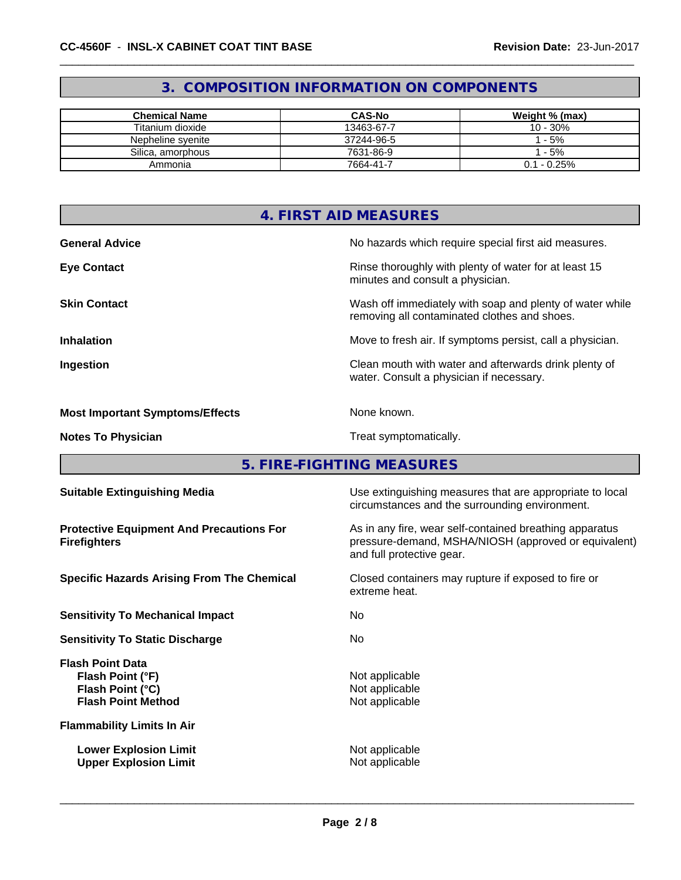### **3. COMPOSITION INFORMATION ON COMPONENTS**

| <b>Chemical Name</b> | <b>CAS-No</b> | Weight % (max) |
|----------------------|---------------|----------------|
| Titanium dioxide     | 13463-67-7    | 10 - 30%       |
| Nepheline svenite    | 37244-96-5    | $-5%$          |
| Silica, amorphous    | 7631-86-9     | $-5%$          |
| Ammonia              | 7664-41-7     | $0.1 - 0.25%$  |

| 4. FIRST AID MEASURES                  |                                                                                                          |  |
|----------------------------------------|----------------------------------------------------------------------------------------------------------|--|
| <b>General Advice</b>                  | No hazards which require special first aid measures.                                                     |  |
| <b>Eye Contact</b>                     | Rinse thoroughly with plenty of water for at least 15<br>minutes and consult a physician.                |  |
| <b>Skin Contact</b>                    | Wash off immediately with soap and plenty of water while<br>removing all contaminated clothes and shoes. |  |
| <b>Inhalation</b>                      | Move to fresh air. If symptoms persist, call a physician.                                                |  |
| Ingestion                              | Clean mouth with water and afterwards drink plenty of<br>water. Consult a physician if necessary.        |  |
| <b>Most Important Symptoms/Effects</b> | None known.                                                                                              |  |
| <b>Notes To Physician</b>              | Treat symptomatically.                                                                                   |  |

**5. FIRE-FIGHTING MEASURES**

| <b>Suitable Extinguishing Media</b>                                                          | Use extinguishing measures that are appropriate to local<br>circumstances and the surrounding environment.                                   |
|----------------------------------------------------------------------------------------------|----------------------------------------------------------------------------------------------------------------------------------------------|
| <b>Protective Equipment And Precautions For</b><br><b>Firefighters</b>                       | As in any fire, wear self-contained breathing apparatus<br>pressure-demand, MSHA/NIOSH (approved or equivalent)<br>and full protective gear. |
| <b>Specific Hazards Arising From The Chemical</b>                                            | Closed containers may rupture if exposed to fire or<br>extreme heat.                                                                         |
| <b>Sensitivity To Mechanical Impact</b>                                                      | No.                                                                                                                                          |
| <b>Sensitivity To Static Discharge</b>                                                       | No.                                                                                                                                          |
| <b>Flash Point Data</b><br>Flash Point (°F)<br>Flash Point (°C)<br><b>Flash Point Method</b> | Not applicable<br>Not applicable<br>Not applicable                                                                                           |
| <b>Flammability Limits In Air</b>                                                            |                                                                                                                                              |
| <b>Lower Explosion Limit</b><br><b>Upper Explosion Limit</b>                                 | Not applicable<br>Not applicable                                                                                                             |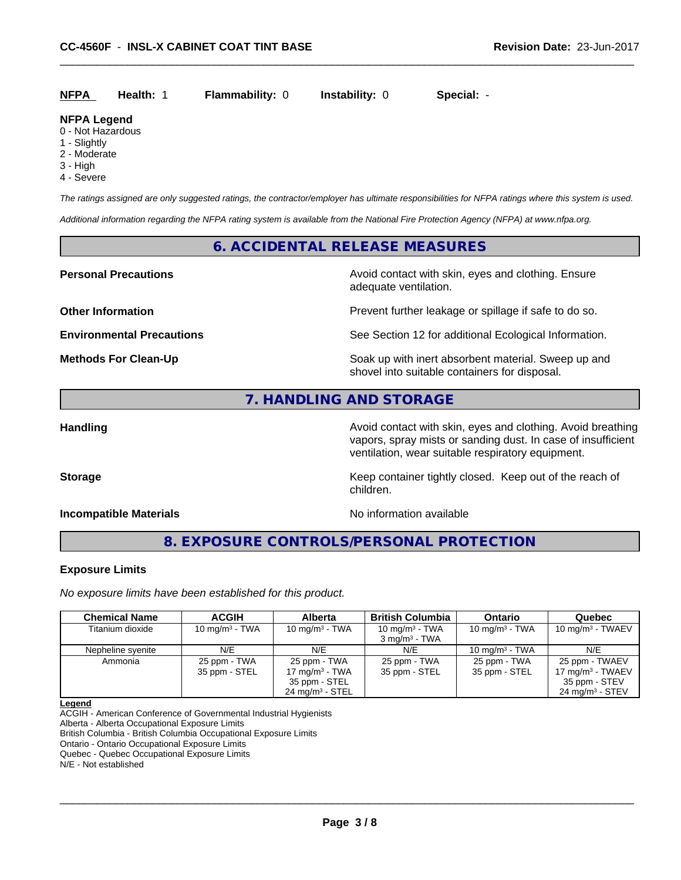| <b>NFPA</b> | <b>Health: 1</b> | <b>Flammability: 0</b> | <b>Instability: 0</b> | Special: |  |
|-------------|------------------|------------------------|-----------------------|----------|--|
|-------------|------------------|------------------------|-----------------------|----------|--|

#### **NFPA Legend**

- 0 Not Hazardous
- 1 Slightly
- 2 Moderate
- 3 High
- 4 Severe

*The ratings assigned are only suggested ratings, the contractor/employer has ultimate responsibilities for NFPA ratings where this system is used.*

*Additional information regarding the NFPA rating system is available from the National Fire Protection Agency (NFPA) at www.nfpa.org.*

#### **6. ACCIDENTAL RELEASE MEASURES**

**Personal Precautions Precautions** Avoid contact with skin, eyes and clothing. Ensure adequate ventilation.

**Other Information Discription Prevent further leakage or spillage if safe to do so.** 

**Environmental Precautions** See Section 12 for additional Ecological Information.

**Methods For Clean-Up Example 20 All 20 All 20 All 20 Soak up with inert absorbent material. Sweep up and** shovel into suitable containers for disposal.

#### **7. HANDLING AND STORAGE**

children.

Handling **Handling Avoid contact with skin, eyes and clothing. Avoid breathing Handling** vapors, spray mists or sanding dust. In case of insufficient ventilation, wear suitable respiratory equipment.

**Storage Keep container tightly closed. Keep out of the reach of the reach of the reach of the reach of the reach of the reach of the reach of the reach of the reach of the reach of the reach of the reach of the reach of** 

#### **Incompatible Materials Incompatible Materials No information available**

**8. EXPOSURE CONTROLS/PERSONAL PROTECTION**

#### **Exposure Limits**

*No exposure limits have been established for this product.*

| <b>Chemical Name</b> | <b>ACGIH</b>                  | <b>Alberta</b>                    | <b>British Columbia</b>       | <b>Ontario</b>                | <b>Quebec</b>                         |
|----------------------|-------------------------------|-----------------------------------|-------------------------------|-------------------------------|---------------------------------------|
| Titanium dioxide     | 10 mg/m $3$ - TWA             | 10 mg/m $3$ - TWA                 | 10 mg/m $3$ - TWA             | 10 mg/m $3$ - TWA             | 10 mg/m $3$ - TWAEV                   |
|                      |                               |                                   | $3 \text{ mg/m}^3$ - TWA      |                               |                                       |
| Nepheline syenite    | N/E                           | N/E                               | N/E                           | 10 mg/m $3$ - TWA             | N/E                                   |
| Ammonia              | 25 ppm - TWA<br>35 ppm - STEL | 25 ppm - TWA<br>17 mg/m $3$ - TWA | 25 ppm - TWA<br>35 ppm - STEL | 25 ppm - TWA<br>35 ppm - STEL | 25 ppm - TWAEV<br>17 mg/m $3$ - TWAEV |
|                      |                               | 35 ppm - STEL                     |                               |                               | 35 ppm - STEV                         |
|                      |                               | $24 \text{ mg/m}^3$ - STEL        |                               |                               | $24 \text{ mg/m}^3$ - STEV            |

#### **Legend**

ACGIH - American Conference of Governmental Industrial Hygienists

Alberta - Alberta Occupational Exposure Limits

British Columbia - British Columbia Occupational Exposure Limits

Ontario - Ontario Occupational Exposure Limits

Quebec - Quebec Occupational Exposure Limits

N/E - Not established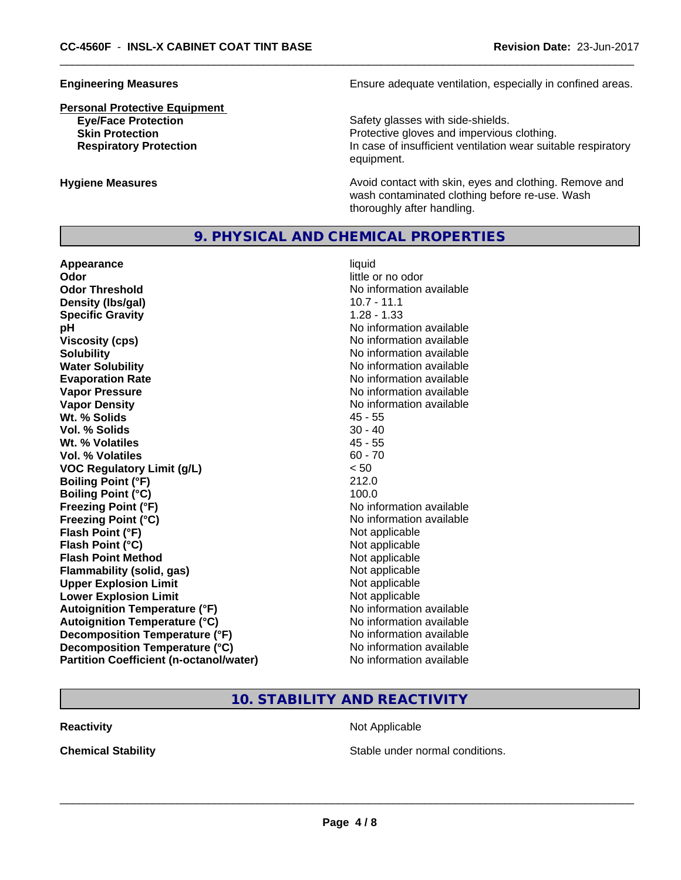# **Personal Protective Equipment**

**Engineering Measures Ensure adequate ventilation, especially in confined areas.** 

**Eye/Face Protection** Safety glasses with side-shields. **Skin Protection Protection Protective gloves and impervious clothing. Respiratory Protection In case of insufficient ventilation wear suitable respiratory** equipment.

**Hygiene Measures Avoid contact with skin, eyes and clothing. Remove and Avoid contact with skin, eyes and clothing. Remove and Avoid contact with skin, eyes and clothing. Remove and** wash contaminated clothing before re-use. Wash thoroughly after handling.

#### **9. PHYSICAL AND CHEMICAL PROPERTIES**

**Appearance** liquid **Odor** little or no odor **Odor Threshold No information available No information available Density (lbs/gal)** 10.7 - 11.1 **Specific Gravity** 1.28 - 1.33 **pH pH**  $\blacksquare$ **Viscosity (cps)** No information available **Solubility No information available No information available Water Solubility Water Solubility No information available Evaporation Rate No information available No information available Vapor Pressure** No information available **Vapor Density No information available No information available Wt. % Solids** 45 - 55 **Vol. % Solids** 30 - 40 **Wt. % Volatiles** 45 - 55 **Vol. % Volatiles** 60 - 70 **VOC Regulatory Limit (g/L)** < 50 **Boiling Point (°F)** 212.0 **Boiling Point (°C)** 100.0 **Freezing Point (°F)** No information available **Freezing Point (°C)** No information available **Flash Point (°F)**<br> **Flash Point (°C)**<br> **Flash Point (°C)**<br> **C Flash Point (°C) Flash Point Method Not applicable Not applicable Flammability (solid, gas)** Not applicable **Upper Explosion Limit** Not applicable **Lower Explosion Limit**  $\qquad \qquad$  Not applicable **Autoignition Temperature (°F)** No information available **Autoignition Temperature (°C)** No information available **Decomposition Temperature (°F)** No information available **Decomposition Temperature (°C)** No information available **Partition Coefficient (n-octanol/water)** No information available

#### **10. STABILITY AND REACTIVITY**

**Reactivity Not Applicable Not Applicable** 

**Chemical Stability Stable under normal conditions.**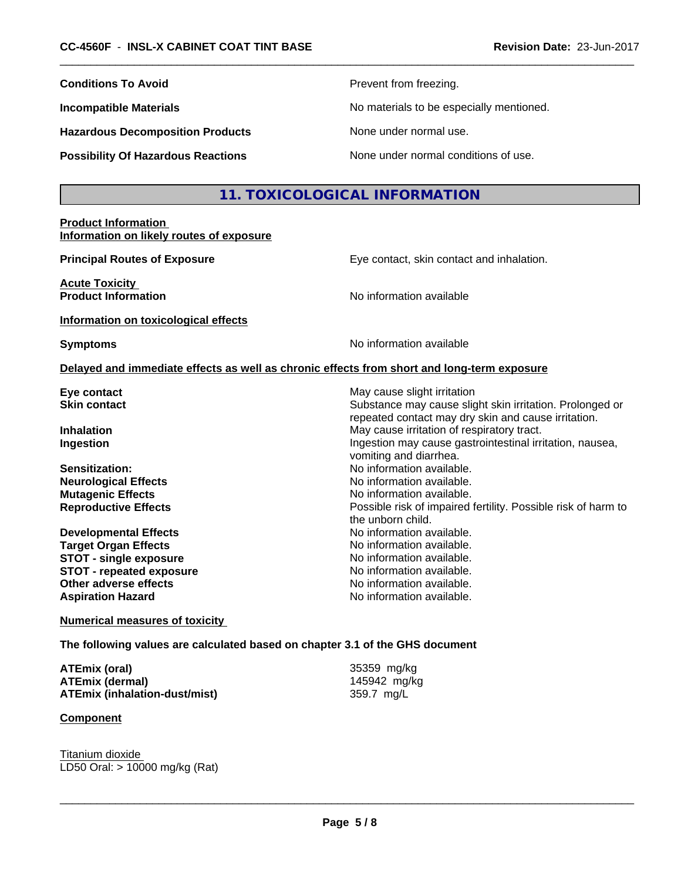| <b>Conditions To Avoid</b>                                                                                               | Prevent from freezing.                                                                                                                         |
|--------------------------------------------------------------------------------------------------------------------------|------------------------------------------------------------------------------------------------------------------------------------------------|
| <b>Incompatible Materials</b>                                                                                            | No materials to be especially mentioned.                                                                                                       |
| <b>Hazardous Decomposition Products</b>                                                                                  | None under normal use.                                                                                                                         |
| <b>Possibility Of Hazardous Reactions</b>                                                                                | None under normal conditions of use.                                                                                                           |
|                                                                                                                          | 11. TOXICOLOGICAL INFORMATION                                                                                                                  |
| <b>Product Information</b><br>Information on likely routes of exposure                                                   |                                                                                                                                                |
| <b>Principal Routes of Exposure</b>                                                                                      | Eye contact, skin contact and inhalation.                                                                                                      |
| <b>Acute Toxicity</b><br><b>Product Information</b>                                                                      | No information available                                                                                                                       |
| Information on toxicological effects                                                                                     |                                                                                                                                                |
| <b>Symptoms</b>                                                                                                          | No information available                                                                                                                       |
|                                                                                                                          | Delayed and immediate effects as well as chronic effects from short and long-term exposure                                                     |
| Eye contact<br><b>Skin contact</b>                                                                                       | May cause slight irritation<br>Substance may cause slight skin irritation. Prolonged or<br>repeated contact may dry skin and cause irritation. |
| <b>Inhalation</b><br>Ingestion                                                                                           | May cause irritation of respiratory tract.<br>Ingestion may cause gastrointestinal irritation, nausea,<br>vomiting and diarrhea.               |
| <b>Sensitization:</b><br><b>Neurological Effects</b><br><b>Mutagenic Effects</b>                                         | No information available.<br>No information available.<br>No information available.                                                            |
| <b>Reproductive Effects</b>                                                                                              | Possible risk of impaired fertility. Possible risk of harm to<br>the unborn child.                                                             |
| <b>Developmental Effects</b><br><b>Target Organ Effects</b><br><b>STOT - single exposure</b><br>STOT - repeated exposure | No information available.<br>No information available.<br>No information available.<br>No information available.                               |
| Other adverse effects<br>Aspiration Hazard                                                                               | No information available.<br>No information available.                                                                                         |

**Numerical measures of toxicity**

**The following values are calculated based on chapter 3.1 of the GHS document**

| ATEmix (oral)                        |  |
|--------------------------------------|--|
| <b>ATEmix (dermal)</b>               |  |
| <b>ATEmix (inhalation-dust/mist)</b> |  |

#### **Component**

Titanium dioxide LD50 Oral: > 10000 mg/kg (Rat) **ATEmix (dermal)** 145942 mg/kg **ATEmix (inhalation-dust/mist)** 359.7 mg/L

 $\overline{\phantom{a}}$  ,  $\overline{\phantom{a}}$  ,  $\overline{\phantom{a}}$  ,  $\overline{\phantom{a}}$  ,  $\overline{\phantom{a}}$  ,  $\overline{\phantom{a}}$  ,  $\overline{\phantom{a}}$  ,  $\overline{\phantom{a}}$  ,  $\overline{\phantom{a}}$  ,  $\overline{\phantom{a}}$  ,  $\overline{\phantom{a}}$  ,  $\overline{\phantom{a}}$  ,  $\overline{\phantom{a}}$  ,  $\overline{\phantom{a}}$  ,  $\overline{\phantom{a}}$  ,  $\overline{\phantom{a}}$ 

**ATEmix (oral)** 35359 mg/kg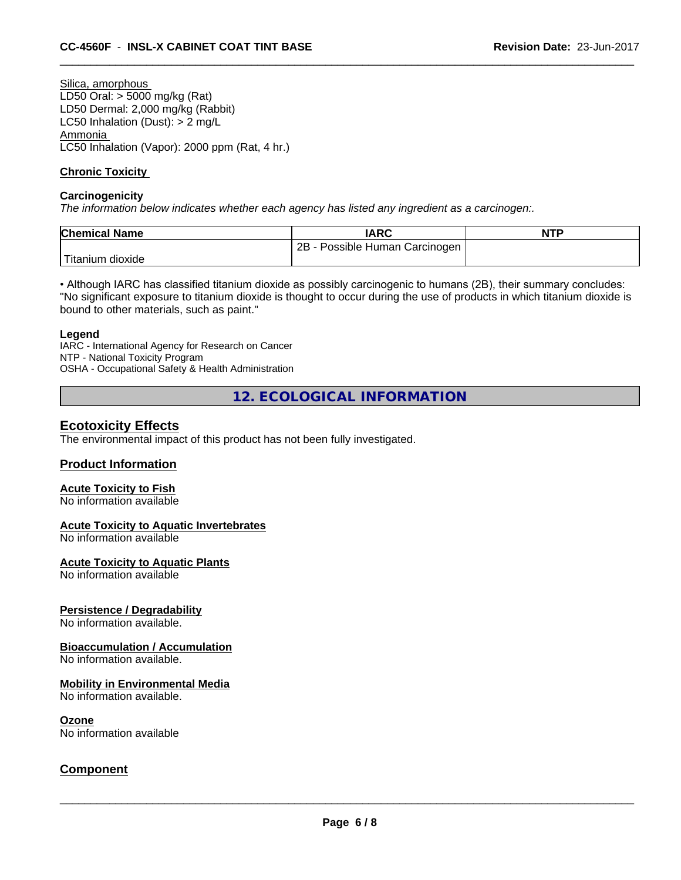Silica, amorphous LD50 Oral: > 5000 mg/kg (Rat) LD50 Dermal: 2,000 mg/kg (Rabbit) LC50 Inhalation (Dust): > 2 mg/L Ammonia LC50 Inhalation (Vapor): 2000 ppm (Rat, 4 hr.)

#### **Chronic Toxicity**

#### **Carcinogenicity**

*The information below indicateswhether each agency has listed any ingredient as a carcinogen:.*

| <b>Chemical Name</b>    | <b>IARC</b>                     | <b>NTP</b> |
|-------------------------|---------------------------------|------------|
|                         | 2B<br>Possible Human Carcinogen |            |
| Titanium 、<br>ı dioxide |                                 |            |

• Although IARC has classified titanium dioxide as possibly carcinogenic to humans (2B), their summary concludes: "No significant exposure to titanium dioxide is thought to occur during the use of products in which titanium dioxide is bound to other materials, such as paint."

#### **Legend**

IARC - International Agency for Research on Cancer NTP - National Toxicity Program OSHA - Occupational Safety & Health Administration

**12. ECOLOGICAL INFORMATION**

#### **Ecotoxicity Effects**

The environmental impact of this product has not been fully investigated.

#### **Product Information**

#### **Acute Toxicity to Fish**

No information available

#### **Acute Toxicity to Aquatic Invertebrates**

No information available

#### **Acute Toxicity to Aquatic Plants**

No information available

#### **Persistence / Degradability**

No information available.

#### **Bioaccumulation / Accumulation**

No information available.

#### **Mobility in Environmental Media**

No information available.

#### **Ozone**

No information available

#### **Component**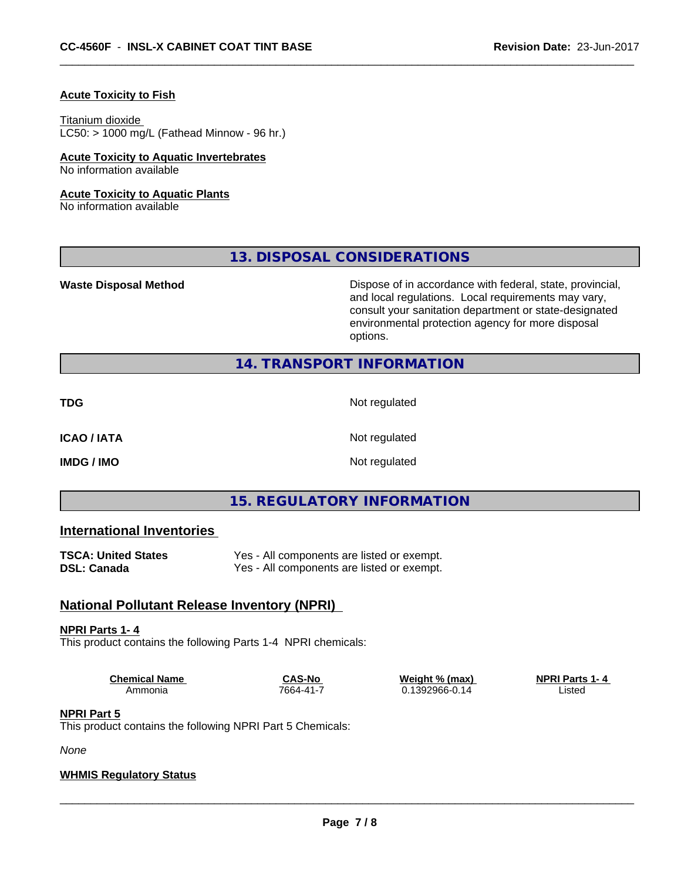#### **Acute Toxicity to Fish**

#### Titanium dioxide

 $LC50:$  > 1000 mg/L (Fathead Minnow - 96 hr.)

#### **Acute Toxicity to Aquatic Invertebrates** No information available

#### **Acute Toxicity to Aquatic Plants**

No information available

**13. DISPOSAL CONSIDERATIONS**

**Waste Disposal Method Dispose of in accordance with federal, state, provincial,** and local regulations. Local requirements may vary, consult your sanitation department or state-designated environmental protection agency for more disposal options.

#### **14. TRANSPORT INFORMATION**

**TDG** Not regulated

**ICAO / IATA** Not regulated

**IMDG / IMO** Not regulated

#### **15. REGULATORY INFORMATION**

#### **International Inventories**

| <b>TSCA: United States</b> | Yes - All components are listed or exempt. |
|----------------------------|--------------------------------------------|
| <b>DSL: Canada</b>         | Yes - All components are listed or exempt. |

#### **National Pollutant Release Inventory (NPRI)**

#### **NPRI Parts 1- 4**

This product contains the following Parts 1-4 NPRI chemicals:

**Chemical Name CAS-No Weight % (max) NPRI Parts 1-4**<br>Ammonia 7664-41-7 0.1392966-0.14 Listed

 $0.1392966 - 0.14$ 

 $\overline{\phantom{a}}$  ,  $\overline{\phantom{a}}$  ,  $\overline{\phantom{a}}$  ,  $\overline{\phantom{a}}$  ,  $\overline{\phantom{a}}$  ,  $\overline{\phantom{a}}$  ,  $\overline{\phantom{a}}$  ,  $\overline{\phantom{a}}$  ,  $\overline{\phantom{a}}$  ,  $\overline{\phantom{a}}$  ,  $\overline{\phantom{a}}$  ,  $\overline{\phantom{a}}$  ,  $\overline{\phantom{a}}$  ,  $\overline{\phantom{a}}$  ,  $\overline{\phantom{a}}$  ,  $\overline{\phantom{a}}$ 

#### **NPRI Part 5**

This product contains the following NPRI Part 5 Chemicals:

*None*

#### **WHMIS Regulatory Status**